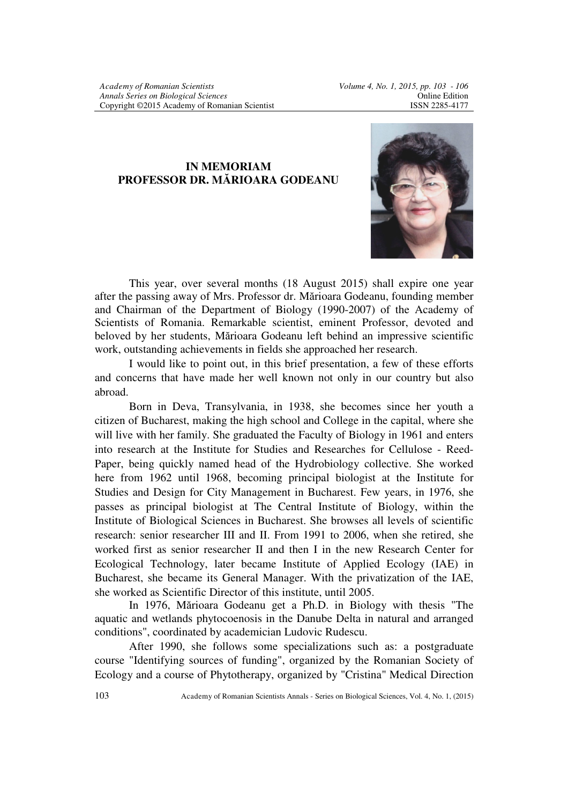## **IN MEMORIAM PROFESSOR DR. MĂRIOARA GODEANU**



This year, over several months (18 August 2015) shall expire one year after the passing away of Mrs. Professor dr. Mărioara Godeanu, founding member and Chairman of the Department of Biology (1990-2007) of the Academy of Scientists of Romania. Remarkable scientist, eminent Professor, devoted and beloved by her students, Mărioara Godeanu left behind an impressive scientific work, outstanding achievements in fields she approached her research.

I would like to point out, in this brief presentation, a few of these efforts and concerns that have made her well known not only in our country but also abroad.

Born in Deva, Transylvania, in 1938, she becomes since her youth a citizen of Bucharest, making the high school and College in the capital, where she will live with her family. She graduated the Faculty of Biology in 1961 and enters into research at the Institute for Studies and Researches for Cellulose - Reed-Paper, being quickly named head of the Hydrobiology collective. She worked here from 1962 until 1968, becoming principal biologist at the Institute for Studies and Design for City Management in Bucharest. Few years, in 1976, she passes as principal biologist at The Central Institute of Biology, within the Institute of Biological Sciences in Bucharest. She browses all levels of scientific research: senior researcher III and II. From 1991 to 2006, when she retired, she worked first as senior researcher II and then I in the new Research Center for Ecological Technology, later became Institute of Applied Ecology (IAE) in Bucharest, she became its General Manager. With the privatization of the IAE, she worked as Scientific Director of this institute, until 2005.

In 1976, Mărioara Godeanu get a Ph.D. in Biology with thesis "The aquatic and wetlands phytocoenosis in the Danube Delta in natural and arranged conditions", coordinated by academician Ludovic Rudescu.

After 1990, she follows some specializations such as: a postgraduate course "Identifying sources of funding", organized by the Romanian Society of Ecology and a course of Phytotherapy, organized by "Cristina" Medical Direction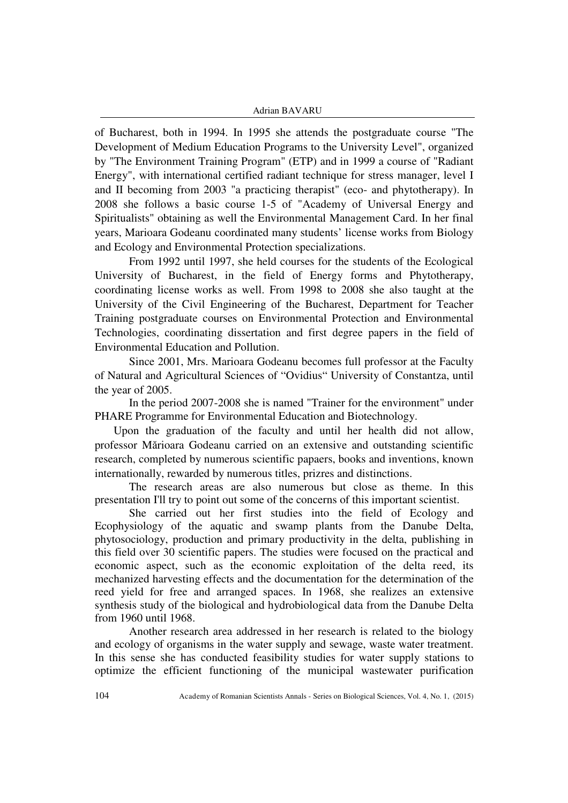## Adrian BAVARU

of Bucharest, both in 1994. In 1995 she attends the postgraduate course "The Development of Medium Education Programs to the University Level", organized by "The Environment Training Program" (ETP) and in 1999 a course of "Radiant Energy", with international certified radiant technique for stress manager, level I and II becoming from 2003 "a practicing therapist" (eco- and phytotherapy). In 2008 she follows a basic course 1-5 of "Academy of Universal Energy and Spiritualists" obtaining as well the Environmental Management Card. In her final years, Marioara Godeanu coordinated many students' license works from Biology and Ecology and Environmental Protection specializations.

From 1992 until 1997, she held courses for the students of the Ecological University of Bucharest, in the field of Energy forms and Phytotherapy, coordinating license works as well. From 1998 to 2008 she also taught at the University of the Civil Engineering of the Bucharest, Department for Teacher Training postgraduate courses on Environmental Protection and Environmental Technologies, coordinating dissertation and first degree papers in the field of Environmental Education and Pollution.

Since 2001, Mrs. Marioara Godeanu becomes full professor at the Faculty of Natural and Agricultural Sciences of "Ovidius" University of Constantza, until the year of 2005.

In the period 2007-2008 she is named "Trainer for the environment" under PHARE Programme for Environmental Education and Biotechnology.

 Upon the graduation of the faculty and until her health did not allow, professor Mărioara Godeanu carried on an extensive and outstanding scientific research, completed by numerous scientific papaers, books and inventions, known internationally, rewarded by numerous titles, prizres and distinctions.

The research areas are also numerous but close as theme. In this presentation I'll try to point out some of the concerns of this important scientist.

She carried out her first studies into the field of Ecology and Ecophysiology of the aquatic and swamp plants from the Danube Delta, phytosociology, production and primary productivity in the delta, publishing in this field over 30 scientific papers. The studies were focused on the practical and economic aspect, such as the economic exploitation of the delta reed, its mechanized harvesting effects and the documentation for the determination of the reed yield for free and arranged spaces. In 1968, she realizes an extensive synthesis study of the biological and hydrobiological data from the Danube Delta from 1960 until 1968.

Another research area addressed in her research is related to the biology and ecology of organisms in the water supply and sewage, waste water treatment. In this sense she has conducted feasibility studies for water supply stations to optimize the efficient functioning of the municipal wastewater purification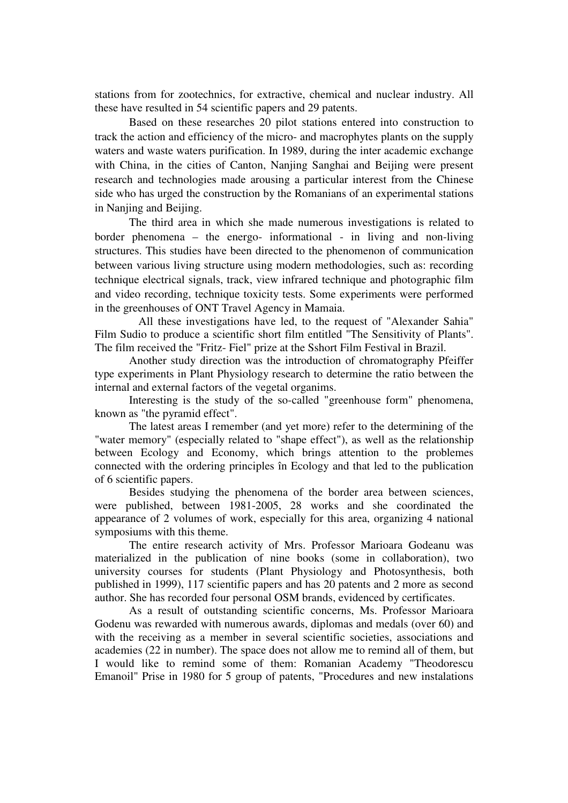stations from for zootechnics, for extractive, chemical and nuclear industry. All these have resulted in 54 scientific papers and 29 patents.

Based on these researches 20 pilot stations entered into construction to track the action and efficiency of the micro- and macrophytes plants on the supply waters and waste waters purification. In 1989, during the inter academic exchange with China, in the cities of Canton, Nanjing Sanghai and Beijing were present research and technologies made arousing a particular interest from the Chinese side who has urged the construction by the Romanians of an experimental stations in Nanjing and Beijing.

The third area in which she made numerous investigations is related to border phenomena – the energo- informational - in living and non-living structures. This studies have been directed to the phenomenon of communication between various living structure using modern methodologies, such as: recording technique electrical signals, track, view infrared technique and photographic film and video recording, technique toxicity tests. Some experiments were performed in the greenhouses of ONT Travel Agency in Mamaia.

 All these investigations have led, to the request of "Alexander Sahia" Film Sudio to produce a scientific short film entitled "The Sensitivity of Plants". The film received the "Fritz- Fiel" prize at the Sshort Film Festival in Brazil.

Another study direction was the introduction of chromatography Pfeiffer type experiments in Plant Physiology research to determine the ratio between the internal and external factors of the vegetal organims.

Interesting is the study of the so-called "greenhouse form" phenomena, known as "the pyramid effect".

The latest areas I remember (and yet more) refer to the determining of the "water memory" (especially related to "shape effect"), as well as the relationship between Ecology and Economy, which brings attention to the problemes connected with the ordering principles în Ecology and that led to the publication of 6 scientific papers.

Besides studying the phenomena of the border area between sciences, were published, between 1981-2005, 28 works and she coordinated the appearance of 2 volumes of work, especially for this area, organizing 4 national symposiums with this theme.

The entire research activity of Mrs. Professor Marioara Godeanu was materialized in the publication of nine books (some in collaboration), two university courses for students (Plant Physiology and Photosynthesis, both published in 1999), 117 scientific papers and has 20 patents and 2 more as second author. She has recorded four personal OSM brands, evidenced by certificates.

As a result of outstanding scientific concerns, Ms. Professor Marioara Godenu was rewarded with numerous awards, diplomas and medals (over 60) and with the receiving as a member in several scientific societies, associations and academies (22 in number). The space does not allow me to remind all of them, but I would like to remind some of them: Romanian Academy "Theodorescu Emanoil" Prise in 1980 for 5 group of patents, "Procedures and new instalations